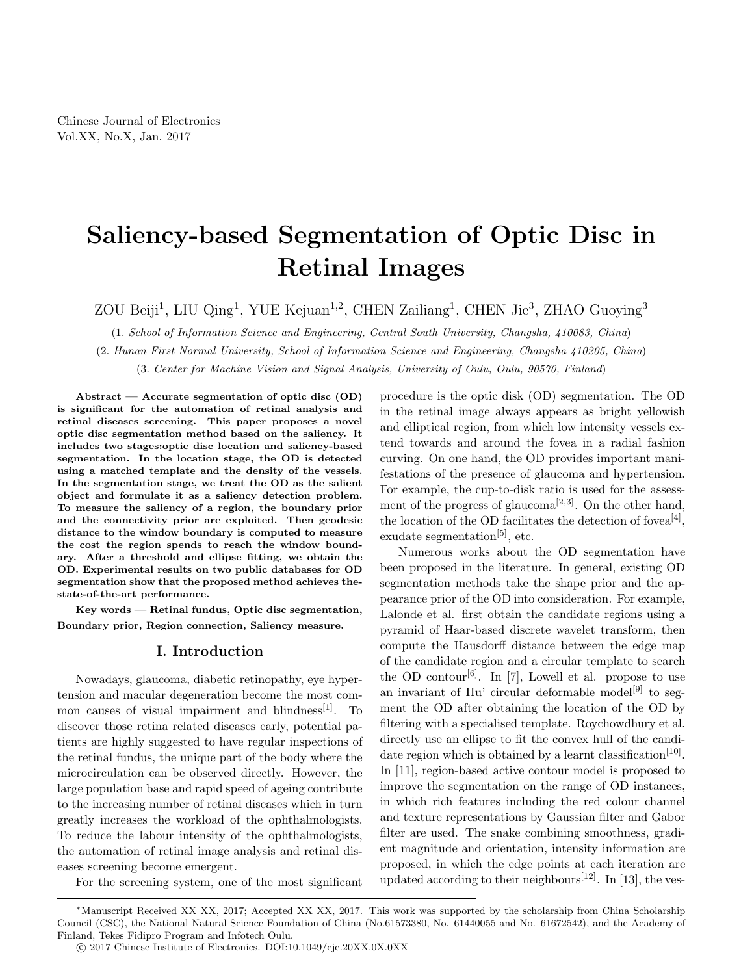# Saliency-based Segmentation of Optic Disc in Retinal Images

 $ZOU Beiji<sup>1</sup>, LIU Qing<sup>1</sup>, YUE Kejuan<sup>1,2</sup>, CHEN Zailiang<sup>1</sup>, CHEN Jie<sup>3</sup>, ZHAO Guoying<sup>3</sup>$ 

(1. School of Information Science and Engineering, Central South University, Changsha, 410083, China) (2. Hunan First Normal University, School of Information Science and Engineering, Changsha 410205, China) (3. Center for Machine Vision and Signal Analysis, University of Oulu, Oulu, 90570, Finland)

Abstract — Accurate segmentation of optic disc (OD) is significant for the automation of retinal analysis and retinal diseases screening. This paper proposes a novel optic disc segmentation method based on the saliency. It includes two stages:optic disc location and saliency-based segmentation. In the location stage, the OD is detected using a matched template and the density of the vessels. In the segmentation stage, we treat the OD as the salient object and formulate it as a saliency detection problem. To measure the saliency of a region, the boundary prior and the connectivity prior are exploited. Then geodesic distance to the window boundary is computed to measure the cost the region spends to reach the window boundary. After a threshold and ellipse fitting, we obtain the OD. Experimental results on two public databases for OD segmentation show that the proposed method achieves thestate-of-the-art performance.

Key words — Retinal fundus, Optic disc segmentation, Boundary prior, Region connection, Saliency measure.

### I. Introduction

Nowadays, glaucoma, diabetic retinopathy, eye hypertension and macular degeneration become the most common causes of visual impairment and blindness $[1]$ . To discover those retina related diseases early, potential patients are highly suggested to have regular inspections of the retinal fundus, the unique part of the body where the microcirculation can be observed directly. However, the large population base and rapid speed of ageing contribute to the increasing number of retinal diseases which in turn greatly increases the workload of the ophthalmologists. To reduce the labour intensity of the ophthalmologists, the automation of retinal image analysis and retinal diseases screening become emergent.

For the screening system, one of the most significant

procedure is the optic disk (OD) segmentation. The OD in the retinal image always appears as bright yellowish and elliptical region, from which low intensity vessels extend towards and around the fovea in a radial fashion curving. On one hand, the OD provides important manifestations of the presence of glaucoma and hypertension. For example, the cup-to-disk ratio is used for the assessment of the progress of glaucoma<sup>[2,3]</sup>. On the other hand, the location of the OD facilitates the detection of fovea<sup>[4]</sup>, exudate segmentation<sup>[5]</sup>, etc.

Numerous works about the OD segmentation have been proposed in the literature. In general, existing OD segmentation methods take the shape prior and the appearance prior of the OD into consideration. For example, Lalonde et al. first obtain the candidate regions using a pyramid of Haar-based discrete wavelet transform, then compute the Hausdorff distance between the edge map of the candidate region and a circular template to search the OD contour<sup>[6]</sup>. In [7], Lowell et al. propose to use an invariant of Hu' circular deformable model<sup>[9]</sup> to segment the OD after obtaining the location of the OD by filtering with a specialised template. Roychowdhury et al. directly use an ellipse to fit the convex hull of the candidate region which is obtained by a learnt classification<sup>[10]</sup>. In [11], region-based active contour model is proposed to improve the segmentation on the range of OD instances, in which rich features including the red colour channel and texture representations by Gaussian filter and Gabor filter are used. The snake combining smoothness, gradient magnitude and orientation, intensity information are proposed, in which the edge points at each iteration are updated according to their neighbours<sup>[12]</sup>. In [13], the ves-

<sup>∗</sup>Manuscript Received XX XX, 2017; Accepted XX XX, 2017. This work was supported by the scholarship from China Scholarship Council (CSC), the National Natural Science Foundation of China (No.61573380, No. 61440055 and No. 61672542), and the Academy of Finland, Tekes Fidipro Program and Infotech Oulu.

c 2017 Chinese Institute of Electronics. DOI:10.1049/cje.20XX.0X.0XX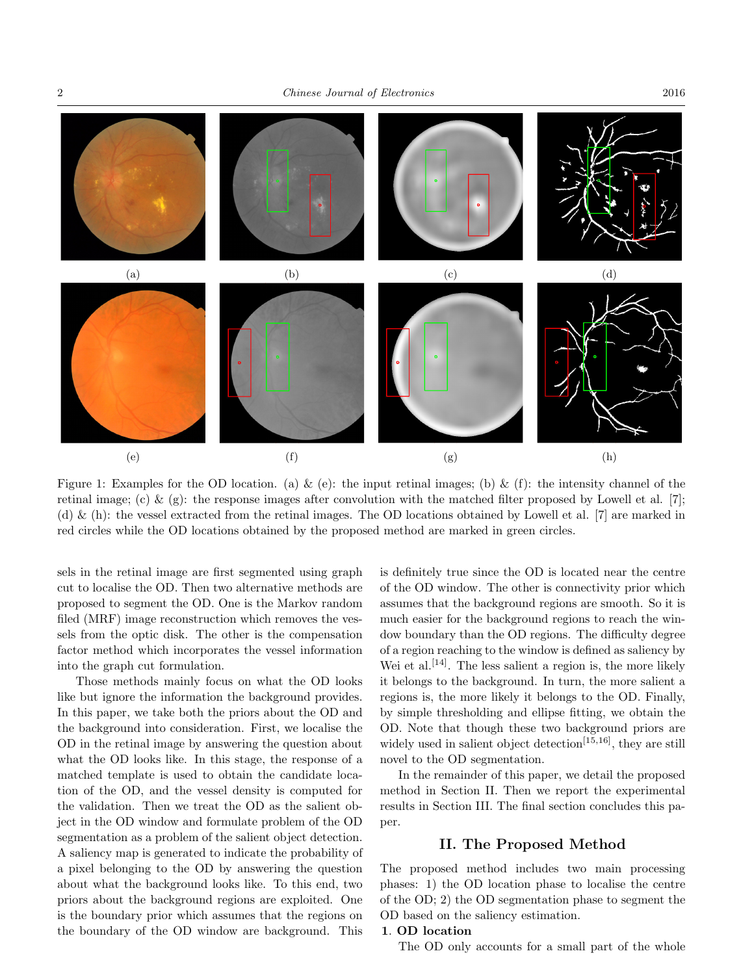

Figure 1: Examples for the OD location. (a) & (e): the input retinal images; (b) & (f): the intensity channel of the retinal image; (c) & (g): the response images after convolution with the matched filter proposed by Lowell et al. [7]; (d)  $\&$  (h): the vessel extracted from the retinal images. The OD locations obtained by Lowell et al. [7] are marked in red circles while the OD locations obtained by the proposed method are marked in green circles.

sels in the retinal image are first segmented using graph cut to localise the OD. Then two alternative methods are proposed to segment the OD. One is the Markov random filed (MRF) image reconstruction which removes the vessels from the optic disk. The other is the compensation factor method which incorporates the vessel information into the graph cut formulation.

Those methods mainly focus on what the OD looks like but ignore the information the background provides. In this paper, we take both the priors about the OD and the background into consideration. First, we localise the OD in the retinal image by answering the question about what the OD looks like. In this stage, the response of a matched template is used to obtain the candidate location of the OD, and the vessel density is computed for the validation. Then we treat the OD as the salient object in the OD window and formulate problem of the OD segmentation as a problem of the salient object detection. A saliency map is generated to indicate the probability of a pixel belonging to the OD by answering the question about what the background looks like. To this end, two priors about the background regions are exploited. One is the boundary prior which assumes that the regions on the boundary of the OD window are background. This

is definitely true since the OD is located near the centre of the OD window. The other is connectivity prior which assumes that the background regions are smooth. So it is much easier for the background regions to reach the window boundary than the OD regions. The difficulty degree of a region reaching to the window is defined as saliency by Wei et al.<sup>[14]</sup>. The less salient a region is, the more likely it belongs to the background. In turn, the more salient a regions is, the more likely it belongs to the OD. Finally, by simple thresholding and ellipse fitting, we obtain the OD. Note that though these two background priors are widely used in salient object detection<sup>[15,16]</sup>, they are still novel to the OD segmentation.

In the remainder of this paper, we detail the proposed method in Section II. Then we report the experimental results in Section III. The final section concludes this paper.

#### II. The Proposed Method

The proposed method includes two main processing phases: 1) the OD location phase to localise the centre of the OD; 2) the OD segmentation phase to segment the OD based on the saliency estimation.

## 1. OD location

The OD only accounts for a small part of the whole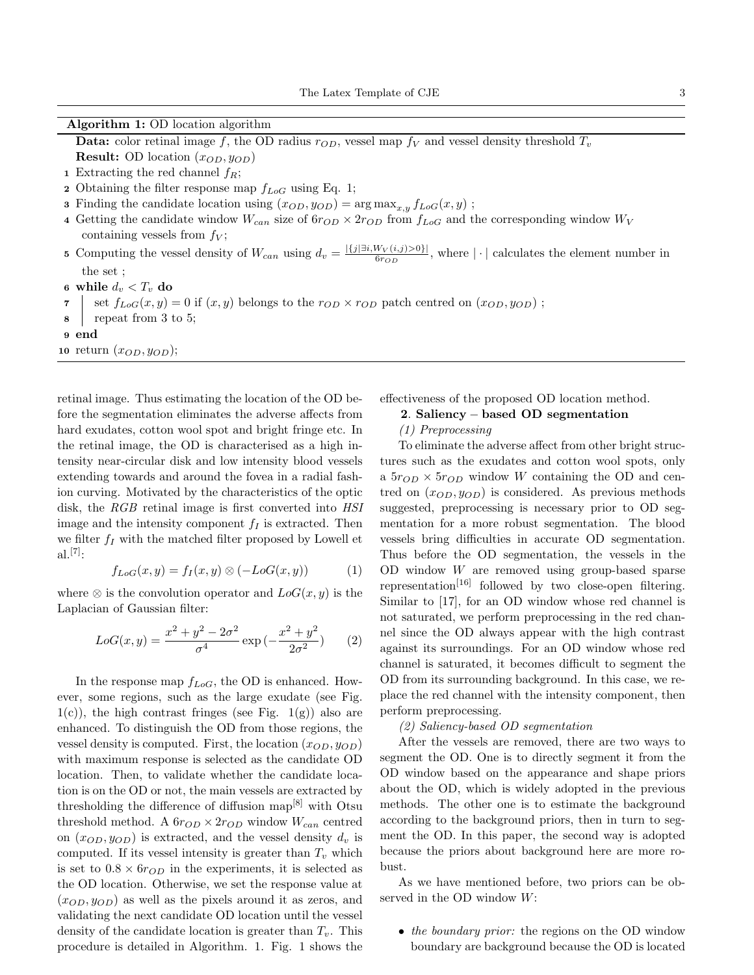Algorithm 1: OD location algorithm

**Data:** color retinal image f, the OD radius  $r_{OD}$ , vessel map  $f_V$  and vessel density threshold  $T_v$ 

- **Result:** OD location  $(x_{OD}, y_{OD})$
- 1 Extracting the red channel  $f_R$ ;
- 2 Obtaining the filter response map  $f_{LoG}$  using Eq. 1;
- **3** Finding the candidate location using  $(x_{OD}, y_{OD}) = \arg \max_{x,y} f_{LoG}(x, y)$ ;
- 4 Getting the candidate window  $W_{can}$  size of  $6r_{OD} \times 2r_{OD}$  from  $f_{LoG}$  and the corresponding window  $W_V$ containing vessels from  $f_V$ ;
- 5 Computing the vessel density of  $W_{can}$  using  $d_v = \frac{|\{j|\exists i, W_V(i,j)>0\}|}{670D}$  $\frac{W_V(i,j) > 0}{6r_{OD}}$ , where  $|\cdot|$  calculates the element number in the set ;

6 while  $d_v < T_v$  do

7 | set 
$$
f_{LoG}(x, y) = 0
$$
 if  $(x, y)$  belongs to the  $r_{OD} \times r_{OD}$  patch centred on  $(x_{OD}, y_{OD})$ ;

- 8 repeat from 3 to 5;
- 9 end

10 return  $(x_{OD}, y_{OD});$ 

retinal image. Thus estimating the location of the OD before the segmentation eliminates the adverse affects from hard exudates, cotton wool spot and bright fringe etc. In the retinal image, the OD is characterised as a high intensity near-circular disk and low intensity blood vessels extending towards and around the fovea in a radial fashion curving. Motivated by the characteristics of the optic disk, the RGB retinal image is first converted into HSI image and the intensity component  $f_I$  is extracted. Then we filter  $f_I$  with the matched filter proposed by Lowell et  $al.$ [7]:

$$
f_{LoG}(x, y) = f_I(x, y) \otimes (-LoG(x, y)) \tag{1}
$$

where  $\otimes$  is the convolution operator and  $LoG(x, y)$  is the Laplacian of Gaussian filter:

$$
LoG(x,y) = \frac{x^2 + y^2 - 2\sigma^2}{\sigma^4} \exp\left(-\frac{x^2 + y^2}{2\sigma^2}\right) \tag{2}
$$

In the response map  $f_{LoG}$ , the OD is enhanced. However, some regions, such as the large exudate (see Fig.  $1(c)$ , the high contrast fringes (see Fig.  $1(g)$ ) also are enhanced. To distinguish the OD from those regions, the vessel density is computed. First, the location  $(x_{OD}, y_{OD})$ with maximum response is selected as the candidate OD location. Then, to validate whether the candidate location is on the OD or not, the main vessels are extracted by thresholding the difference of diffusion map<sup>[8]</sup> with Otsu threshold method. A  $6r_{OD} \times 2r_{OD}$  window  $W_{can}$  centred on  $(x_{OD}, y_{OD})$  is extracted, and the vessel density  $d_v$  is computed. If its vessel intensity is greater than  $T_v$  which is set to  $0.8 \times 6r_{OD}$  in the experiments, it is selected as the OD location. Otherwise, we set the response value at  $(x_{OD}, y_{OD})$  as well as the pixels around it as zeros, and validating the next candidate OD location until the vessel density of the candidate location is greater than  $T_v$ . This procedure is detailed in Algorithm. 1. Fig. 1 shows the effectiveness of the proposed OD location method.

#### 2. Saliency − based OD segmentation

#### (1) Preprocessing

To eliminate the adverse affect from other bright structures such as the exudates and cotton wool spots, only a  $5r_{OD} \times 5r_{OD}$  window W containing the OD and centred on  $(x_{OD}, y_{OD})$  is considered. As previous methods suggested, preprocessing is necessary prior to OD segmentation for a more robust segmentation. The blood vessels bring difficulties in accurate OD segmentation. Thus before the OD segmentation, the vessels in the OD window W are removed using group-based sparse  $representation^{[16]}$  followed by two close-open filtering. Similar to [17], for an OD window whose red channel is not saturated, we perform preprocessing in the red channel since the OD always appear with the high contrast against its surroundings. For an OD window whose red channel is saturated, it becomes difficult to segment the OD from its surrounding background. In this case, we replace the red channel with the intensity component, then perform preprocessing.

#### (2) Saliency-based OD segmentation

After the vessels are removed, there are two ways to segment the OD. One is to directly segment it from the OD window based on the appearance and shape priors about the OD, which is widely adopted in the previous methods. The other one is to estimate the background according to the background priors, then in turn to segment the OD. In this paper, the second way is adopted because the priors about background here are more robust.

As we have mentioned before, two priors can be observed in the OD window W:

• the boundary prior: the regions on the OD window boundary are background because the OD is located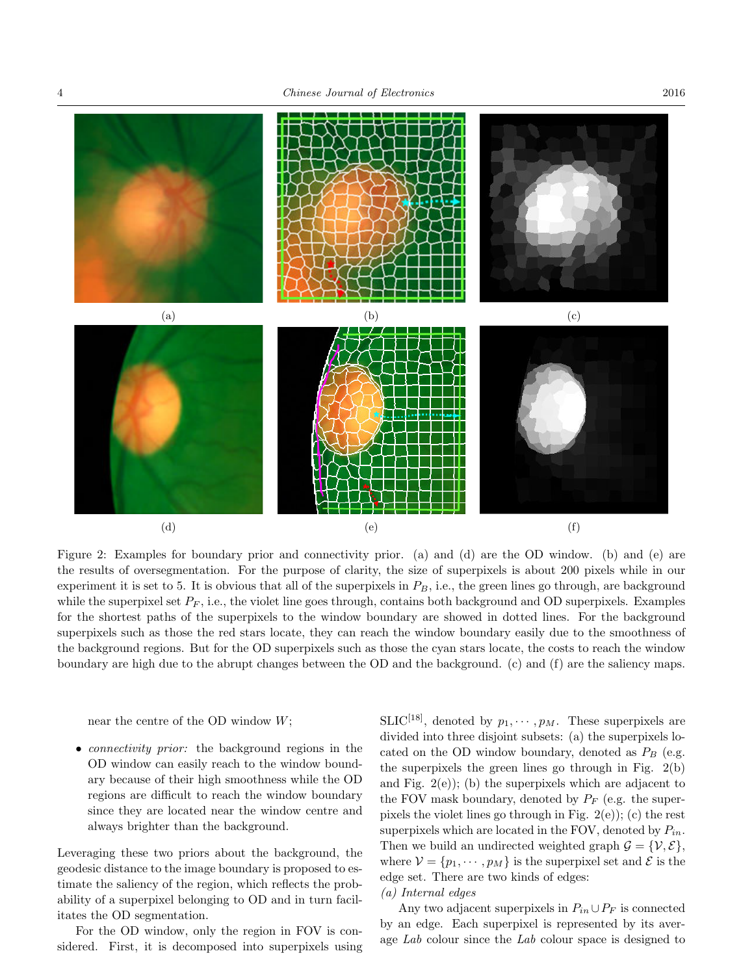

Figure 2: Examples for boundary prior and connectivity prior. (a) and (d) are the OD window. (b) and (e) are the results of oversegmentation. For the purpose of clarity, the size of superpixels is about 200 pixels while in our experiment it is set to 5. It is obvious that all of the superpixels in  $P_B$ , i.e., the green lines go through, are background while the superpixel set  $P_F$ , i.e., the violet line goes through, contains both background and OD superpixels. Examples for the shortest paths of the superpixels to the window boundary are showed in dotted lines. For the background superpixels such as those the red stars locate, they can reach the window boundary easily due to the smoothness of the background regions. But for the OD superpixels such as those the cyan stars locate, the costs to reach the window boundary are high due to the abrupt changes between the OD and the background. (c) and (f) are the saliency maps.

near the centre of the OD window W;

• connectivity prior: the background regions in the OD window can easily reach to the window boundary because of their high smoothness while the OD regions are difficult to reach the window boundary since they are located near the window centre and always brighter than the background.

Leveraging these two priors about the background, the geodesic distance to the image boundary is proposed to estimate the saliency of the region, which reflects the probability of a superpixel belonging to OD and in turn facilitates the OD segmentation.

For the OD window, only the region in FOV is considered. First, it is decomposed into superpixels using SLIC<sup>[18]</sup>, denoted by  $p_1, \dots, p_M$ . These superpixels are divided into three disjoint subsets: (a) the superpixels located on the OD window boundary, denoted as  $P_B$  (e.g. the superpixels the green lines go through in Fig. 2(b) and Fig.  $2(e)$ ; (b) the superpixels which are adjacent to the FOV mask boundary, denoted by  $P_F$  (e.g. the superpixels the violet lines go through in Fig. 2(e)); (c) the rest superpixels which are located in the FOV, denoted by  $P_{in}$ . Then we build an undirected weighted graph  $\mathcal{G} = \{ \mathcal{V}, \mathcal{E} \},\$ where  $V = \{p_1, \dots, p_M\}$  is the superpixel set and  $\mathcal E$  is the edge set. There are two kinds of edges: (a) Internal edges

Any two adjacent superpixels in  $P_{in} \cup P_F$  is connected by an edge. Each superpixel is represented by its average Lab colour since the Lab colour space is designed to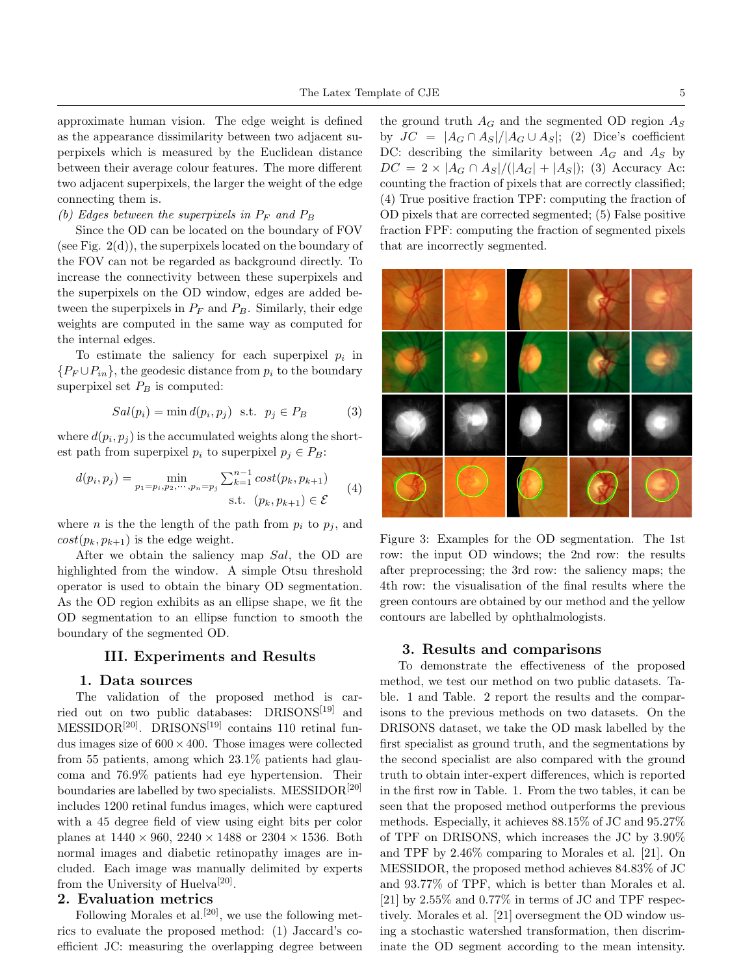approximate human vision. The edge weight is defined as the appearance dissimilarity between two adjacent superpixels which is measured by the Euclidean distance between their average colour features. The more different two adjacent superpixels, the larger the weight of the edge connecting them is.

#### (b) Edges between the superpixels in  $P_F$  and  $P_B$

Since the OD can be located on the boundary of FOV (see Fig. 2(d)), the superpixels located on the boundary of the FOV can not be regarded as background directly. To increase the connectivity between these superpixels and the superpixels on the OD window, edges are added between the superpixels in  $P_F$  and  $P_B$ . Similarly, their edge weights are computed in the same way as computed for the internal edges.

To estimate the saliency for each superpixel  $p_i$  in  ${P_F \cup P_{in}}$ , the geodesic distance from  $p_i$  to the boundary superpixel set  $P_B$  is computed:

$$
Sal(p_i) = \min d(p_i, p_j) \text{ s.t. } p_j \in P_B \tag{3}
$$

where  $d(p_i, p_j)$  is the accumulated weights along the shortest path from superpixel  $p_i$  to superpixel  $p_j \in P_B$ :

$$
d(p_i, p_j) = \min_{p_1 = p_i, p_2, \cdots, p_n = p_j} \sum_{k=1}^{n-1} cost(p_k, p_{k+1})
$$
  
s.t.  $(p_k, p_{k+1}) \in \mathcal{E}$  (4)

where *n* is the the length of the path from  $p_i$  to  $p_j$ , and  $cost(p_k, p_{k+1})$  is the edge weight.

After we obtain the saliency map Sal, the OD are highlighted from the window. A simple Otsu threshold operator is used to obtain the binary OD segmentation. As the OD region exhibits as an ellipse shape, we fit the OD segmentation to an ellipse function to smooth the boundary of the segmented OD.

#### III. Experiments and Results

#### 1. Data sources

The validation of the proposed method is carried out on two public databases: DRISONS[19] and  $MESSIDOR<sup>[20]</sup>$ . DRISONS<sup>[19]</sup> contains 110 retinal fundus images size of  $600 \times 400$ . Those images were collected from 55 patients, among which 23.1% patients had glaucoma and 76.9% patients had eye hypertension. Their boundaries are labelled by two specialists. MESSIDOR<sup>[20]</sup> includes 1200 retinal fundus images, which were captured with a 45 degree field of view using eight bits per color planes at  $1440 \times 960$ ,  $2240 \times 1488$  or  $2304 \times 1536$ . Both normal images and diabetic retinopathy images are included. Each image was manually delimited by experts from the University of Huelva<sup>[20]</sup>.

#### 2. Evaluation metrics

Following Morales et al.<sup>[20]</sup>, we use the following metrics to evaluate the proposed method: (1) Jaccard's coefficient JC: measuring the overlapping degree between the ground truth  $A_G$  and the segmented OD region  $A_S$ by  $JC = |A_G \cap A_S|/|A_G \cup A_S|$ ; (2) Dice's coefficient DC: describing the similarity between  $A_G$  and  $A_S$  by  $DC = 2 \times |A_G \cap A_S|/(|A_G| + |A_S|);$  (3) Accuracy Ac: counting the fraction of pixels that are correctly classified; (4) True positive fraction TPF: computing the fraction of OD pixels that are corrected segmented; (5) False positive fraction FPF: computing the fraction of segmented pixels that are incorrectly segmented.



Figure 3: Examples for the OD segmentation. The 1st row: the input OD windows; the 2nd row: the results after preprocessing; the 3rd row: the saliency maps; the 4th row: the visualisation of the final results where the green contours are obtained by our method and the yellow contours are labelled by ophthalmologists.

#### 3. Results and comparisons

To demonstrate the effectiveness of the proposed method, we test our method on two public datasets. Table. 1 and Table. 2 report the results and the comparisons to the previous methods on two datasets. On the DRISONS dataset, we take the OD mask labelled by the first specialist as ground truth, and the segmentations by the second specialist are also compared with the ground truth to obtain inter-expert differences, which is reported in the first row in Table. 1. From the two tables, it can be seen that the proposed method outperforms the previous methods. Especially, it achieves 88.15% of JC and 95.27% of TPF on DRISONS, which increases the JC by 3.90% and TPF by 2.46% comparing to Morales et al. [21]. On MESSIDOR, the proposed method achieves 84.83% of JC and 93.77% of TPF, which is better than Morales et al. [21] by 2.55% and 0.77% in terms of JC and TPF respectively. Morales et al. [21] oversegment the OD window using a stochastic watershed transformation, then discriminate the OD segment according to the mean intensity.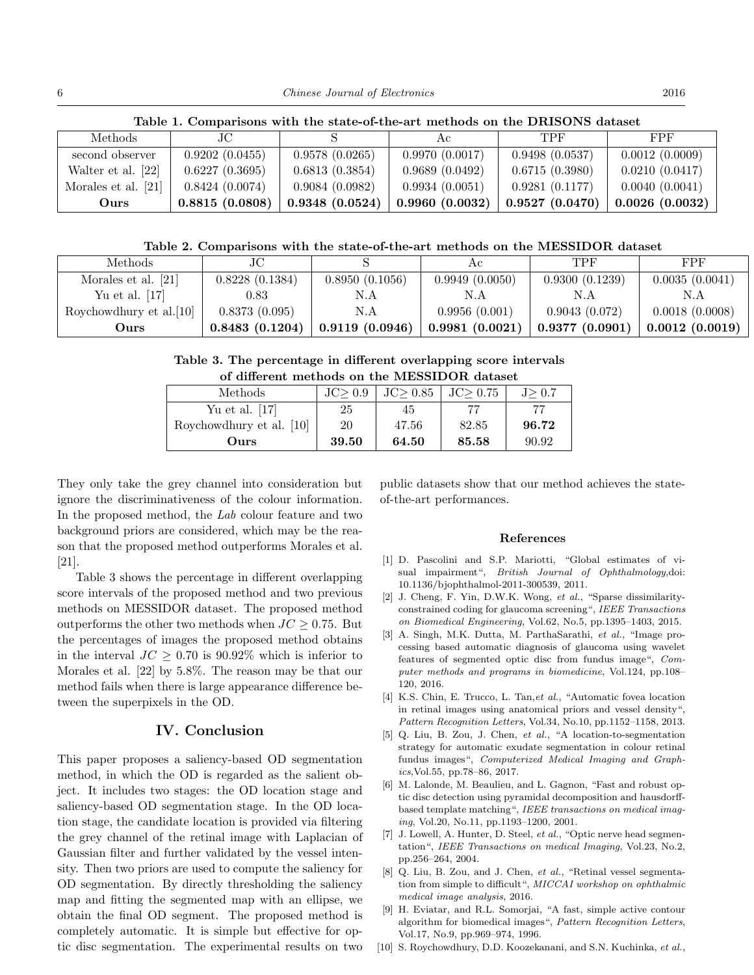| Table 1. Comparisons with the state-of-the-art methods on the DRISONS dataset |                |                |                |                |                |  |  |  |
|-------------------------------------------------------------------------------|----------------|----------------|----------------|----------------|----------------|--|--|--|
| Methods                                                                       |                |                | Аc             | TPF            | FPF            |  |  |  |
| second observer                                                               | 0.9202(0.0455) | 0.9578(0.0265) | 0.9970(0.0017) | 0.9498(0.0537) | 0.0012(0.0009) |  |  |  |
| Walter et al. [22]                                                            | 0.6227(0.3695) | 0.6813(0.3854) | 0.9689(0.0492) | 0.6715(0.3980) | 0.0210(0.0417) |  |  |  |
| Morales et al. [21]                                                           | 0.8424(0.0074) | 0.9084(0.0982) | 0.9934(0.0051) | 0.9281(0.1177) | 0.0040(0.0041) |  |  |  |
| Ours                                                                          | 0.8815(0.0808) | 0.9348(0.0524) | 0.9960(0.0032) | 0.9527(0.0470) | 0.0026(0.0032) |  |  |  |

Table 2. Comparisons with the state-of-the-art methods on the MESSIDOR dataset

| Methods                  |                |                | Aс             | TPF            | FPF            |
|--------------------------|----------------|----------------|----------------|----------------|----------------|
| Morales et al. $[21]$    | 0.8228(0.1384) | 0.8950(0.1056) | 0.9949(0.0050) | 0.9300(0.1239) | 0.0035(0.0041) |
| Yu et al. $[17]$         | $\rm 0.83$     | N.A            | N.A            | N.A            | N.A            |
| Roychowdhury et al. [10] | 0.8373(0.095)  | N.A            | 0.9956(0.001)  | 0.9043(0.072)  | 0.0018(0.0008) |
| Ours                     | 0.8483(0.1204) | 0.9119(0.0946) | 0.9981(0.0021) | 0.9377(0.0901) | 0.0012(0.0019) |

Table 3. The percentage in different overlapping score intervals of different methods on the MESSIDOR dataset

| Methods                  | JC> 0.9 | JC > 0.85 | $\rm{JC} > 0.75$ | J > 0.7 |  |  |  |  |
|--------------------------|---------|-----------|------------------|---------|--|--|--|--|
| Yu et al. $[17]$         | 25      | 45        | 77               | 77      |  |  |  |  |
| Roychowdhury et al. [10] | 20      | 47.56     | 82.85            | 96.72   |  |  |  |  |
| Ours                     | 39.50   | 64.50     | 85.58            | 90.92   |  |  |  |  |

They only take the grey channel into consideration but ignore the discriminativeness of the colour information. In the proposed method, the Lab colour feature and two background priors are considered, which may be the reason that the proposed method outperforms Morales et al. [21].

Table 3 shows the percentage in different overlapping score intervals of the proposed method and two previous methods on MESSIDOR dataset. The proposed method outperforms the other two methods when  $JC > 0.75$ . But the percentages of images the proposed method obtains in the interval  $JC \geq 0.70$  is 90.92% which is inferior to Morales et al. [22] by 5.8%. The reason may be that our method fails when there is large appearance difference between the superpixels in the OD.

## IV. Conclusion

This paper proposes a saliency-based OD segmentation method, in which the OD is regarded as the salient object. It includes two stages: the OD location stage and saliency-based OD segmentation stage. In the OD location stage, the candidate location is provided via filtering the grey channel of the retinal image with Laplacian of Gaussian filter and further validated by the vessel intensity. Then two priors are used to compute the saliency for OD segmentation. By directly thresholding the saliency map and fitting the segmented map with an ellipse, we obtain the final OD segment. The proposed method is completely automatic. It is simple but effective for optic disc segmentation. The experimental results on two

public datasets show that our method achieves the stateof-the-art performances.

#### References

- [1] D. Pascolini and S.P. Mariotti, "Global estimates of visual impairment", *British Journal of Ophthalmology*,doi: 10.1136/bjophthalmol-2011-300539, 2011.
- [2] J. Cheng, F. Yin, D.W.K. Wong, et al., "Sparse dissimilarityconstrained coding for glaucoma screening", IEEE Transactions on Biomedical Engineering, Vol.62, No.5, pp.1395–1403, 2015.
- [3] A. Singh, M.K. Dutta, M. ParthaSarathi, et al., "Image processing based automatic diagnosis of glaucoma using wavelet features of segmented optic disc from fundus image", Computer methods and programs in biomedicine, Vol.124, pp.108– 120, 2016.
- [4] K.S. Chin, E. Trucco, L. Tan,et al., "Automatic fovea location in retinal images using anatomical priors and vessel density", Pattern Recognition Letters, Vol.34, No.10, pp.1152–1158, 2013.
- [5] Q. Liu, B. Zou, J. Chen, et al., "A location-to-segmentation strategy for automatic exudate segmentation in colour retinal fundus images", Computerized Medical Imaging and Graphics,Vol.55, pp.78–86, 2017.
- [6] M. Lalonde, M. Beaulieu, and L. Gagnon, "Fast and robust optic disc detection using pyramidal decomposition and hausdorffbased template matching", IEEE transactions on medical imaging, Vol.20, No.11, pp.1193–1200, 2001.
- [7] J. Lowell, A. Hunter, D. Steel, et al., "Optic nerve head segmentation", IEEE Transactions on medical Imaging, Vol.23, No.2, pp.256–264, 2004.
- [8] Q. Liu, B. Zou, and J. Chen, et al., "Retinal vessel segmentation from simple to difficult", MICCAI workshop on ophthalmic medical image analysis, 2016.
- [9] H. Eviatar, and R.L. Somorjai, "A fast, simple active contour algorithm for biomedical images", Pattern Recognition Letters, Vol.17, No.9, pp.969–974, 1996.
- [10] S. Roychowdhury, D.D. Koozekanani, and S.N. Kuchinka, et al.,